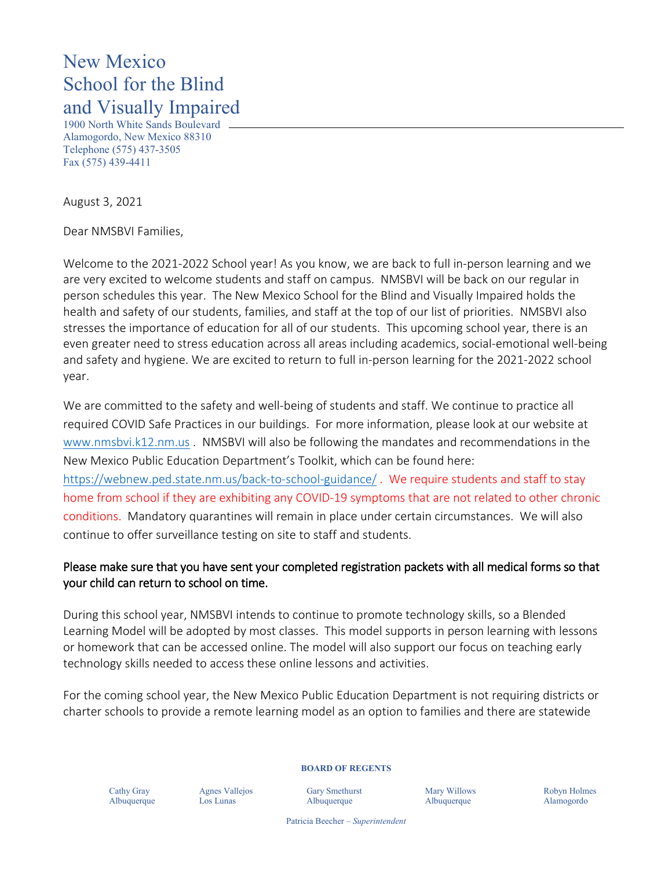## New Mexico School for the Blind and Visually Impaired

1900 North White Sands Boulevard Alamogordo, New Mexico 88310 Telephone (575) 437-3505 Fax (575) 439-4411

August 3, 2021

Dear NMSBVI Families,

Welcome to the 2021-2022 School year! As you know, we are back to full in-person learning and we are very excited to welcome students and staff on campus. NMSBVI will be back on our regular in person schedules this year. The New Mexico School for the Blind and Visually Impaired holds the health and safety of our students, families, and staff at the top of our list of priorities. NMSBVI also stresses the importance of education for all of our students. This upcoming school year, there is an even greater need to stress education across all areas including academics, social-emotional well-being and safety and hygiene. We are excited to return to full in-person learning for the 2021-2022 school year.

We are committed to the safety and well-being of students and staff. We continue to practice all required COVID Safe Practices in our buildings. For more information, please look at our website at [www.nmsbvi.k12.nm.us](http://www.nmsbvi.k12.nm.us/) . NMSBVI will also be following the mandates and recommendations in the New Mexico Public Education Department's Toolkit, which can be found here: <https://webnew.ped.state.nm.us/back-to-school-guidance/> . We require students and staff to stay

home from school if they are exhibiting any COVID-19 symptoms that are not related to other chronic conditions. Mandatory quarantines will remain in place under certain circumstances. We will also continue to offer surveillance testing on site to staff and students.

## Please make sure that you have sent your completed registration packets with all medical forms so that your child can return to school on time.

During this school year, NMSBVI intends to continue to promote technology skills, so a Blended Learning Model will be adopted by most classes. This model supports in person learning with lessons or homework that can be accessed online. The model will also support our focus on teaching early technology skills needed to access these online lessons and activities.

For the coming school year, the New Mexico Public Education Department is not requiring districts or charter schools to provide a remote learning model as an option to families and there are statewide

Cathy Gray Agnes Vallejos Gary Smethurst Mary Willows Robyn Holmes

**BOARD OF REGENTS**

Albuquerque Los Lunas Albuquerque Albuquerque Alamogordo

Patricia Beecher – *Superintendent*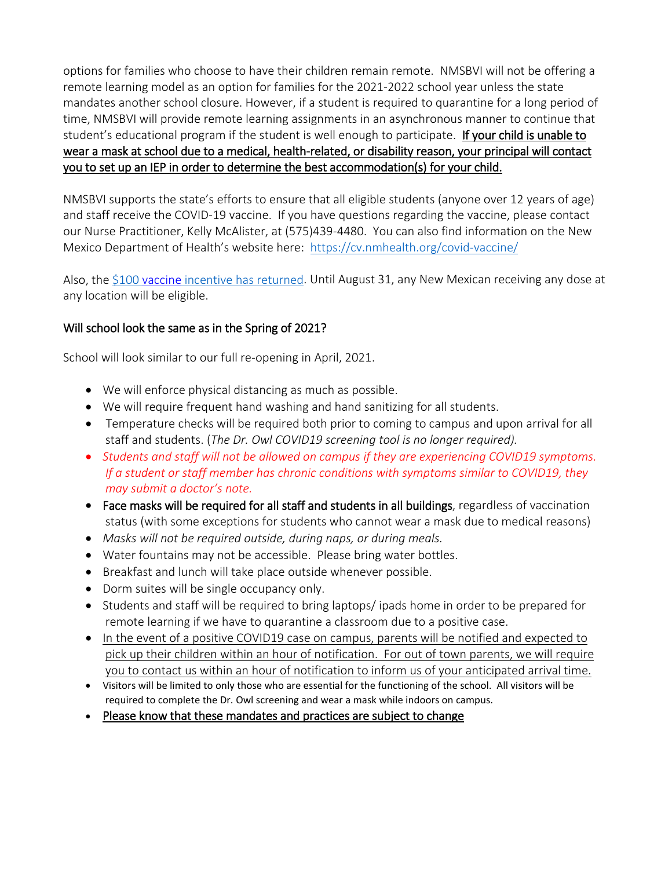options for families who choose to have their children remain remote. NMSBVI will not be offering a remote learning model as an option for families for the 2021-2022 school year unless the state mandates another school closure. However, if a student is required to quarantine for a long period of time, NMSBVI will provide remote learning assignments in an asynchronous manner to continue that student's educational program if the student is well enough to participate. If your child is unable to wear a mask at school due to a medical, health-related, or disability reason, your principal will contact you to set up an IEP in order to determine the best accommodation(s) for your child.

NMSBVI supports the state's efforts to ensure that all eligible students (anyone over 12 years of age) and staff receive the COVID-19 vaccine. If you have questions regarding the vaccine, please contact our Nurse Practitioner, Kelly McAlister, at (575)439-4480. You can also find information on the New Mexico Department of Health's website here: <https://cv.nmhealth.org/covid-vaccine/>

Also, the \$100 vaccine [incentive has returned.](https://vaccinenm.org/incentive-registration.html) Until August 31, any New Mexican receiving any dose at any location will be eligible.

## Will school look the same as in the Spring of 2021?

School will look similar to our full re-opening in April, 2021.

- We will enforce physical distancing as much as possible.
- We will require frequent hand washing and hand sanitizing for all students.
- Temperature checks will be required both prior to coming to campus and upon arrival for all staff and students. (*The Dr. Owl COVID19 screening tool is no longer required).*
- *Students and staff will not be allowed on campus if they are experiencing COVID19 symptoms. If a student or staff member has chronic conditions with symptoms similar to COVID19, they may submit a doctor's note.*
- Face masks will be required for all staff and students in all buildings, regardless of vaccination status (with some exceptions for students who cannot wear a mask due to medical reasons)
- *Masks will not be required outside, during naps, or during meals.*
- Water fountains may not be accessible. Please bring water bottles.
- Breakfast and lunch will take place outside whenever possible.
- Dorm suites will be single occupancy only.
- Students and staff will be required to bring laptops/ ipads home in order to be prepared for remote learning if we have to quarantine a classroom due to a positive case.
- In the event of a positive COVID19 case on campus, parents will be notified and expected to pick up their children within an hour of notification. For out of town parents, we will require you to contact us within an hour of notification to inform us of your anticipated arrival time.
- Visitors will be limited to only those who are essential for the functioning of the school. All visitors will be required to complete the Dr. Owl screening and wear a mask while indoors on campus.
- Please know that these mandates and practices are subject to change